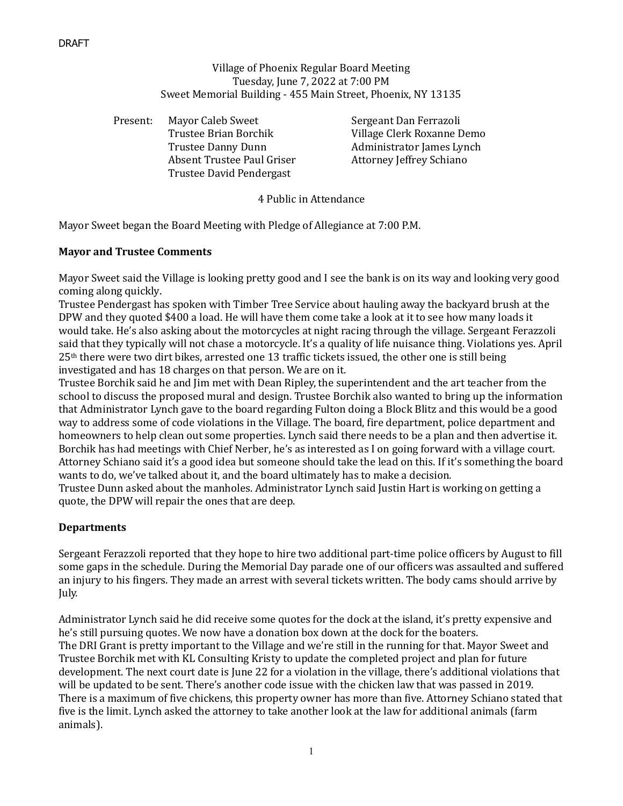# Village of Phoenix Regular Board Meeting Tuesday, June 7, 2022 at 7:00 PM Sweet Memorial Building - 455 Main Street, Phoenix, NY 13135

Present: Mayor Caleb Sweet Sergeant Dan Ferrazoli Trustee Brian Borchik Village Clerk Roxanne Demo Trustee Danny Dunn Administrator James Lynch Absent Trustee Paul Griser **Attorney Jeffrey Schiano** Trustee David Pendergast

4 Public in Attendance

Mayor Sweet began the Board Meeting with Pledge of Allegiance at 7:00 P.M.

#### **Mayor and Trustee Comments**

Mayor Sweet said the Village is looking pretty good and I see the bank is on its way and looking very good coming along quickly.

Trustee Pendergast has spoken with Timber Tree Service about hauling away the backyard brush at the DPW and they quoted \$400 a load. He will have them come take a look at it to see how many loads it would take. He's also asking about the motorcycles at night racing through the village. Sergeant Ferazzoli said that they typically will not chase a motorcycle. It's a quality of life nuisance thing. Violations yes. April  $25<sup>th</sup>$  there were two dirt bikes, arrested one 13 traffic tickets issued, the other one is still being investigated and has 18 charges on that person. We are on it.

Trustee Borchik said he and Jim met with Dean Ripley, the superintendent and the art teacher from the school to discuss the proposed mural and design. Trustee Borchik also wanted to bring up the information that Administrator Lynch gave to the board regarding Fulton doing a Block Blitz and this would be a good way to address some of code violations in the Village. The board, fire department, police department and homeowners to help clean out some properties. Lynch said there needs to be a plan and then advertise it. Borchik has had meetings with Chief Nerber, he's as interested as I on going forward with a village court. Attorney Schiano said it's a good idea but someone should take the lead on this. If it's something the board wants to do, we've talked about it, and the board ultimately has to make a decision.

Trustee Dunn asked about the manholes. Administrator Lynch said Justin Hart is working on getting a quote, the DPW will repair the ones that are deep.

# **Departments**

Sergeant Ferazzoli reported that they hope to hire two additional part-time police officers by August to fill some gaps in the schedule. During the Memorial Day parade one of our officers was assaulted and suffered an injury to his fingers. They made an arrest with several tickets written. The body cams should arrive by July.

Administrator Lynch said he did receive some quotes for the dock at the island, it's pretty expensive and he's still pursuing quotes. We now have a donation box down at the dock for the boaters. The DRI Grant is pretty important to the Village and we're still in the running for that. Mayor Sweet and Trustee Borchik met with KL Consulting Kristy to update the completed project and plan for future development. The next court date is June 22 for a violation in the village, there's additional violations that will be updated to be sent. There's another code issue with the chicken law that was passed in 2019. There is a maximum of five chickens, this property owner has more than five. Attorney Schiano stated that five is the limit. Lynch asked the attorney to take another look at the law for additional animals (farm animals).